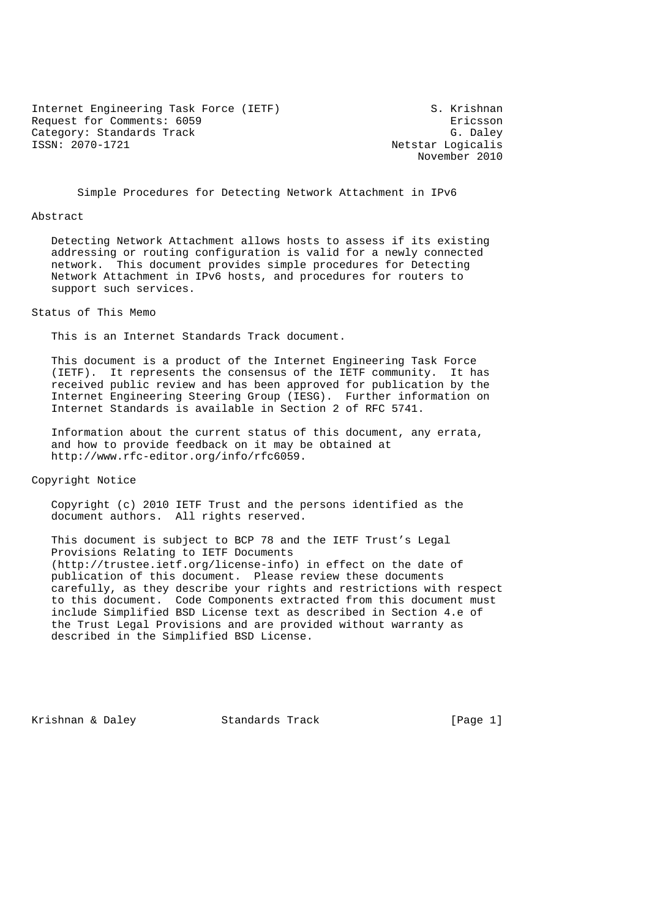Internet Engineering Task Force (IETF) S. Krishnan Request for Comments: 6059<br>
Category: Standards Track<br>
G. Daley Category: Standards Track<br>ISSN: 2070-1721

Netstar Logicalis November 2010

Simple Procedures for Detecting Network Attachment in IPv6

#### Abstract

 Detecting Network Attachment allows hosts to assess if its existing addressing or routing configuration is valid for a newly connected network. This document provides simple procedures for Detecting Network Attachment in IPv6 hosts, and procedures for routers to support such services.

Status of This Memo

This is an Internet Standards Track document.

 This document is a product of the Internet Engineering Task Force (IETF). It represents the consensus of the IETF community. It has received public review and has been approved for publication by the Internet Engineering Steering Group (IESG). Further information on Internet Standards is available in Section 2 of RFC 5741.

 Information about the current status of this document, any errata, and how to provide feedback on it may be obtained at http://www.rfc-editor.org/info/rfc6059.

Copyright Notice

 Copyright (c) 2010 IETF Trust and the persons identified as the document authors. All rights reserved.

 This document is subject to BCP 78 and the IETF Trust's Legal Provisions Relating to IETF Documents (http://trustee.ietf.org/license-info) in effect on the date of publication of this document. Please review these documents carefully, as they describe your rights and restrictions with respect to this document. Code Components extracted from this document must include Simplified BSD License text as described in Section 4.e of the Trust Legal Provisions and are provided without warranty as described in the Simplified BSD License.

Krishnan & Daley Standards Track [Page 1]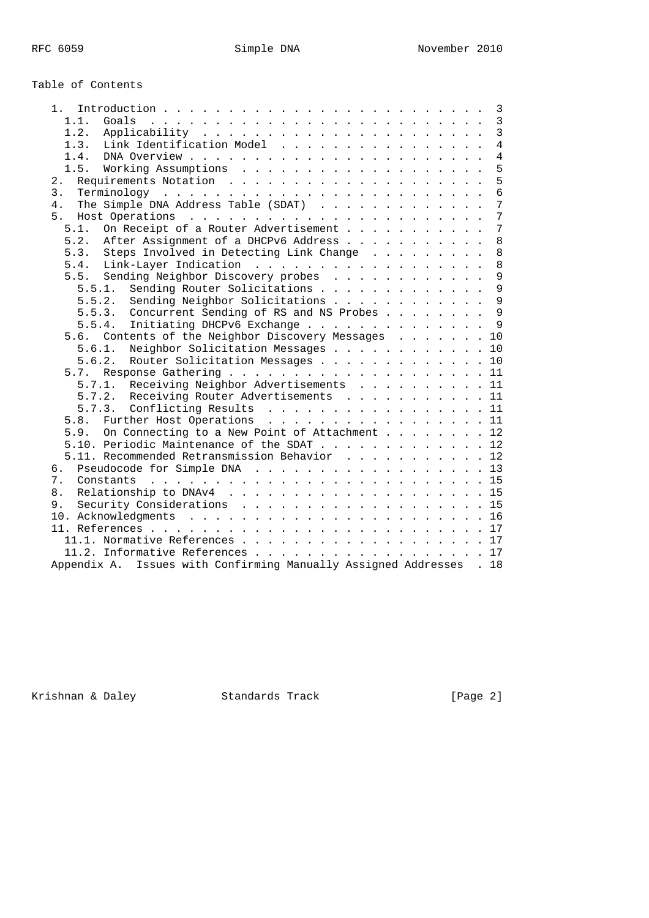# Table of Contents

| 1. .                                                                                                             |  |  | 3               |
|------------------------------------------------------------------------------------------------------------------|--|--|-----------------|
| 1.1.<br>Goals                                                                                                    |  |  | $\overline{3}$  |
| 1.2.                                                                                                             |  |  | $\overline{3}$  |
| Link Identification Model<br>1.3.                                                                                |  |  | $\overline{4}$  |
| $DNA$ Overview $\ldots$ $\ldots$ $\ldots$ $\ldots$ $\ldots$ $\ldots$ $\ldots$ $\ldots$ $\ldots$ $\ldots$<br>1.4. |  |  | $\overline{4}$  |
| 1.5.                                                                                                             |  |  | 5               |
| 2.                                                                                                               |  |  | 5               |
| 3.                                                                                                               |  |  | $6\overline{6}$ |
| 4.                                                                                                               |  |  | $7\overline{ }$ |
| 5 <sub>1</sub>                                                                                                   |  |  | $\overline{7}$  |
| On Receipt of a Router Advertisement<br>5.1.                                                                     |  |  | $7\phantom{.0}$ |
| 5.2. After Assignment of a DHCPv6 Address                                                                        |  |  | 8               |
| 5.3. Steps Involved in Detecting Link Change                                                                     |  |  | $\,8\,$         |
|                                                                                                                  |  |  | 8               |
| 5.5. Sending Neighbor Discovery probes                                                                           |  |  | 9               |
| Sending Router Solicitations<br>5.5.1.                                                                           |  |  | 9               |
| 5.5.2.<br>Sending Neighbor Solicitations                                                                         |  |  | $\overline{9}$  |
| 5.5.3. Concurrent Sending of RS and NS Probes                                                                    |  |  | $\overline{9}$  |
| Initiating DHCPv6 Exchange 9<br>5.5.4.                                                                           |  |  |                 |
| Contents of the Neighbor Discovery Messages 10<br>5.6.                                                           |  |  |                 |
| Neighbor Solicitation Messages 10<br>5.6.1.                                                                      |  |  |                 |
| Router Solicitation Messages 10<br>5.6.2.                                                                        |  |  |                 |
| 5.7.                                                                                                             |  |  |                 |
| 5.7.1. Receiving Neighbor Advertisements 11                                                                      |  |  |                 |
| 5.7.2. Receiving Router Advertisements 11                                                                        |  |  |                 |
| 5.7.3. Conflicting Results 11                                                                                    |  |  |                 |
| 5.8. Further Host Operations 11                                                                                  |  |  |                 |
| 5.9. On Connecting to a New Point of Attachment 12                                                               |  |  |                 |
| 5.10. Periodic Maintenance of the SDAT 12                                                                        |  |  |                 |
| 5.11. Recommended Retransmission Behavior 12                                                                     |  |  |                 |
| Pseudocode for Simple DNA 13<br>б.                                                                               |  |  |                 |
| 7.                                                                                                               |  |  |                 |
| 8.                                                                                                               |  |  |                 |
| Security Considerations 15<br>9.                                                                                 |  |  |                 |
|                                                                                                                  |  |  |                 |
|                                                                                                                  |  |  |                 |
|                                                                                                                  |  |  |                 |
| 11.1. Normative References 17                                                                                    |  |  |                 |
| 11.2. Informative References 17                                                                                  |  |  |                 |
| Appendix A. Issues with Confirming Manually Assigned Addresses . 18                                              |  |  |                 |

Krishnan & Daley Standards Track [Page 2]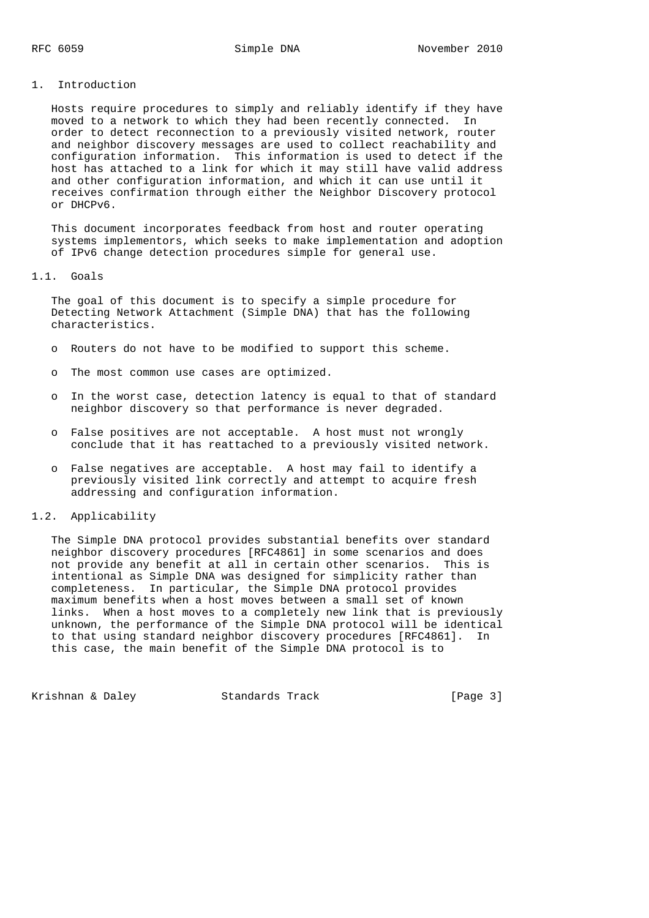#### 1. Introduction

 Hosts require procedures to simply and reliably identify if they have moved to a network to which they had been recently connected. In order to detect reconnection to a previously visited network, router and neighbor discovery messages are used to collect reachability and configuration information. This information is used to detect if the host has attached to a link for which it may still have valid address and other configuration information, and which it can use until it receives confirmation through either the Neighbor Discovery protocol or DHCPv6.

 This document incorporates feedback from host and router operating systems implementors, which seeks to make implementation and adoption of IPv6 change detection procedures simple for general use.

#### 1.1. Goals

 The goal of this document is to specify a simple procedure for Detecting Network Attachment (Simple DNA) that has the following characteristics.

- o Routers do not have to be modified to support this scheme.
- o The most common use cases are optimized.
- o In the worst case, detection latency is equal to that of standard neighbor discovery so that performance is never degraded.
- o False positives are not acceptable. A host must not wrongly conclude that it has reattached to a previously visited network.
- o False negatives are acceptable. A host may fail to identify a previously visited link correctly and attempt to acquire fresh addressing and configuration information.

#### 1.2. Applicability

 The Simple DNA protocol provides substantial benefits over standard neighbor discovery procedures [RFC4861] in some scenarios and does not provide any benefit at all in certain other scenarios. This is intentional as Simple DNA was designed for simplicity rather than completeness. In particular, the Simple DNA protocol provides maximum benefits when a host moves between a small set of known links. When a host moves to a completely new link that is previously unknown, the performance of the Simple DNA protocol will be identical to that using standard neighbor discovery procedures [RFC4861]. In this case, the main benefit of the Simple DNA protocol is to

Krishnan & Daley Standards Track [Page 3]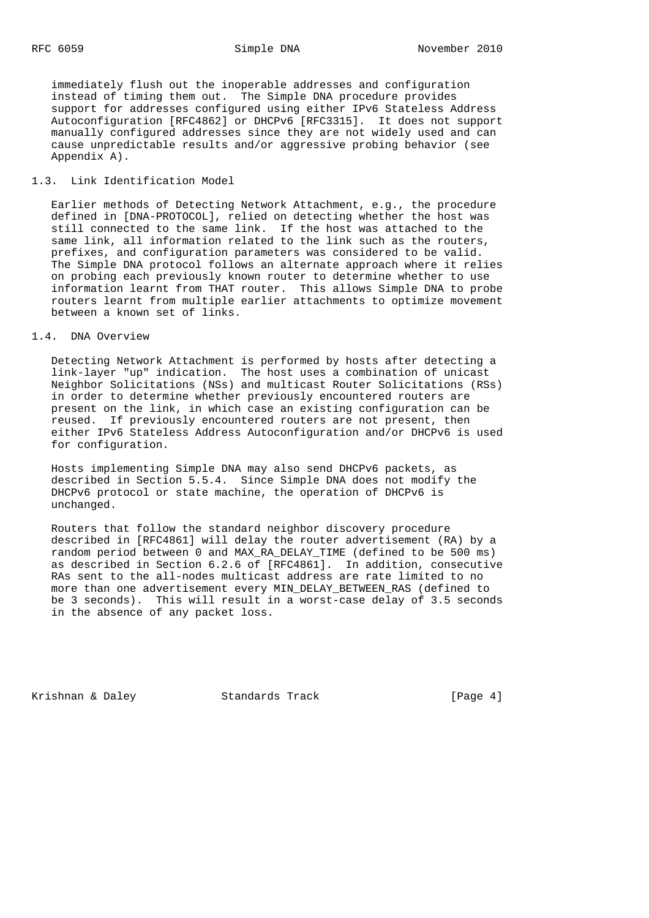immediately flush out the inoperable addresses and configuration instead of timing them out. The Simple DNA procedure provides support for addresses configured using either IPv6 Stateless Address Autoconfiguration [RFC4862] or DHCPv6 [RFC3315]. It does not support manually configured addresses since they are not widely used and can cause unpredictable results and/or aggressive probing behavior (see Appendix A).

## 1.3. Link Identification Model

 Earlier methods of Detecting Network Attachment, e.g., the procedure defined in [DNA-PROTOCOL], relied on detecting whether the host was still connected to the same link. If the host was attached to the same link, all information related to the link such as the routers, prefixes, and configuration parameters was considered to be valid. The Simple DNA protocol follows an alternate approach where it relies on probing each previously known router to determine whether to use information learnt from THAT router. This allows Simple DNA to probe routers learnt from multiple earlier attachments to optimize movement between a known set of links.

## 1.4. DNA Overview

 Detecting Network Attachment is performed by hosts after detecting a link-layer "up" indication. The host uses a combination of unicast Neighbor Solicitations (NSs) and multicast Router Solicitations (RSs) in order to determine whether previously encountered routers are present on the link, in which case an existing configuration can be reused. If previously encountered routers are not present, then either IPv6 Stateless Address Autoconfiguration and/or DHCPv6 is used for configuration.

 Hosts implementing Simple DNA may also send DHCPv6 packets, as described in Section 5.5.4. Since Simple DNA does not modify the DHCPv6 protocol or state machine, the operation of DHCPv6 is unchanged.

 Routers that follow the standard neighbor discovery procedure described in [RFC4861] will delay the router advertisement (RA) by a random period between 0 and MAX\_RA\_DELAY\_TIME (defined to be 500 ms) as described in Section 6.2.6 of [RFC4861]. In addition, consecutive RAs sent to the all-nodes multicast address are rate limited to no more than one advertisement every MIN\_DELAY\_BETWEEN\_RAS (defined to be 3 seconds). This will result in a worst-case delay of 3.5 seconds in the absence of any packet loss.

Krishnan & Daley Standards Track [Page 4]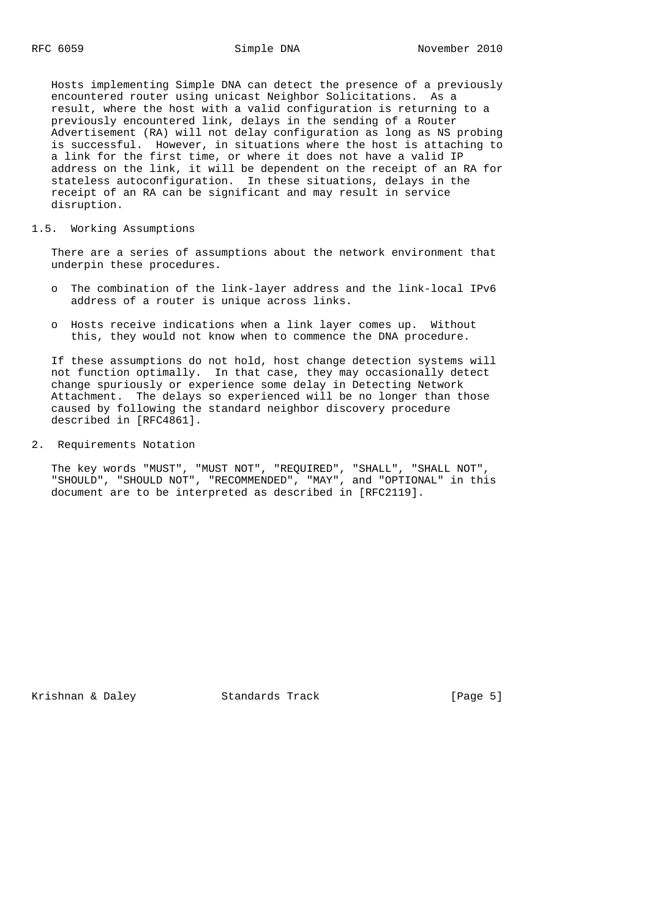Hosts implementing Simple DNA can detect the presence of a previously encountered router using unicast Neighbor Solicitations. As a result, where the host with a valid configuration is returning to a previously encountered link, delays in the sending of a Router Advertisement (RA) will not delay configuration as long as NS probing is successful. However, in situations where the host is attaching to a link for the first time, or where it does not have a valid IP address on the link, it will be dependent on the receipt of an RA for stateless autoconfiguration. In these situations, delays in the receipt of an RA can be significant and may result in service disruption.

#### 1.5. Working Assumptions

 There are a series of assumptions about the network environment that underpin these procedures.

- o The combination of the link-layer address and the link-local IPv6 address of a router is unique across links.
- o Hosts receive indications when a link layer comes up. Without this, they would not know when to commence the DNA procedure.

 If these assumptions do not hold, host change detection systems will not function optimally. In that case, they may occasionally detect change spuriously or experience some delay in Detecting Network Attachment. The delays so experienced will be no longer than those caused by following the standard neighbor discovery procedure described in [RFC4861].

2. Requirements Notation

 The key words "MUST", "MUST NOT", "REQUIRED", "SHALL", "SHALL NOT", "SHOULD", "SHOULD NOT", "RECOMMENDED", "MAY", and "OPTIONAL" in this document are to be interpreted as described in [RFC2119].

Krishnan & Daley Standards Track [Page 5]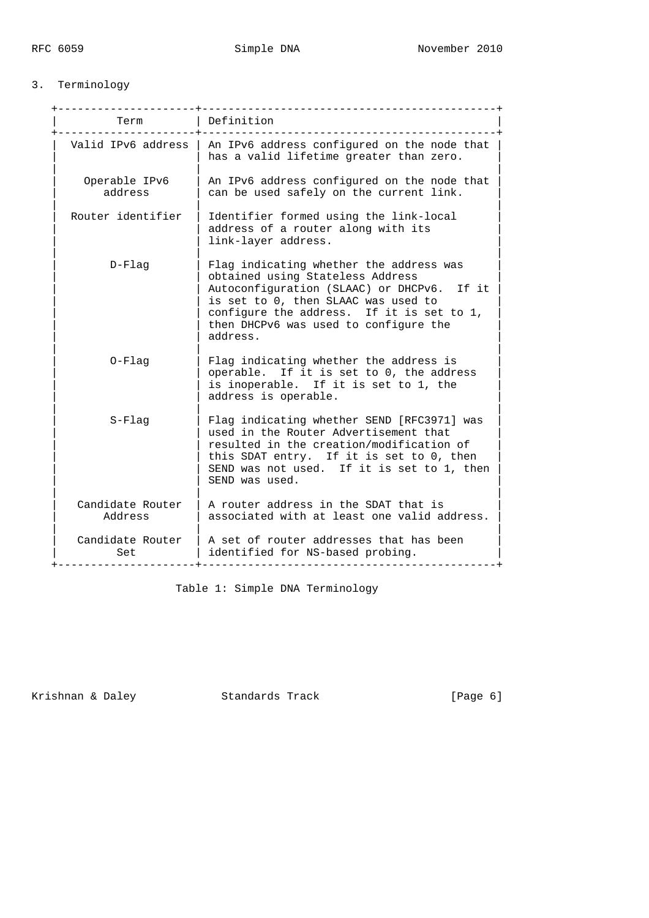# 3. Terminology

| Term                        | Definition                                                                                                                                                                                                                                                         |
|-----------------------------|--------------------------------------------------------------------------------------------------------------------------------------------------------------------------------------------------------------------------------------------------------------------|
| Valid IPv6 address          | An IPv6 address configured on the node that<br>has a valid lifetime greater than zero.                                                                                                                                                                             |
| Operable IPv6<br>address    | An IPv6 address configured on the node that<br>can be used safely on the current link.                                                                                                                                                                             |
| Router identifier           | Identifier formed using the link-local<br>address of a router along with its<br>link-layer address.                                                                                                                                                                |
| $D-Flaq$                    | Flag indicating whether the address was<br>obtained using Stateless Address<br>Autoconfiguration (SLAAC) or DHCPv6. If it<br>is set to 0, then SLAAC was used to<br>configure the address. If it is set to 1,<br>then DHCPv6 was used to configure the<br>address. |
| $0-Flag$                    | Flag indicating whether the address is<br>operable. If it is set to 0, the address<br>is inoperable. If it is set to 1, the<br>address is operable.                                                                                                                |
| $S-Flaq$                    | Flag indicating whether SEND [RFC3971] was<br>used in the Router Advertisement that<br>resulted in the creation/modification of<br>this SDAT entry. If it is set to 0, then<br>SEND was not used. If it is set to 1, then<br>SEND was used.                        |
| Candidate Router<br>Address | A router address in the SDAT that is<br>associated with at least one valid address.                                                                                                                                                                                |
| Candidate Router<br>Set     | A set of router addresses that has been<br>identified for NS-based probing.                                                                                                                                                                                        |

Table 1: Simple DNA Terminology

Krishnan & Daley Standards Track [Page 6]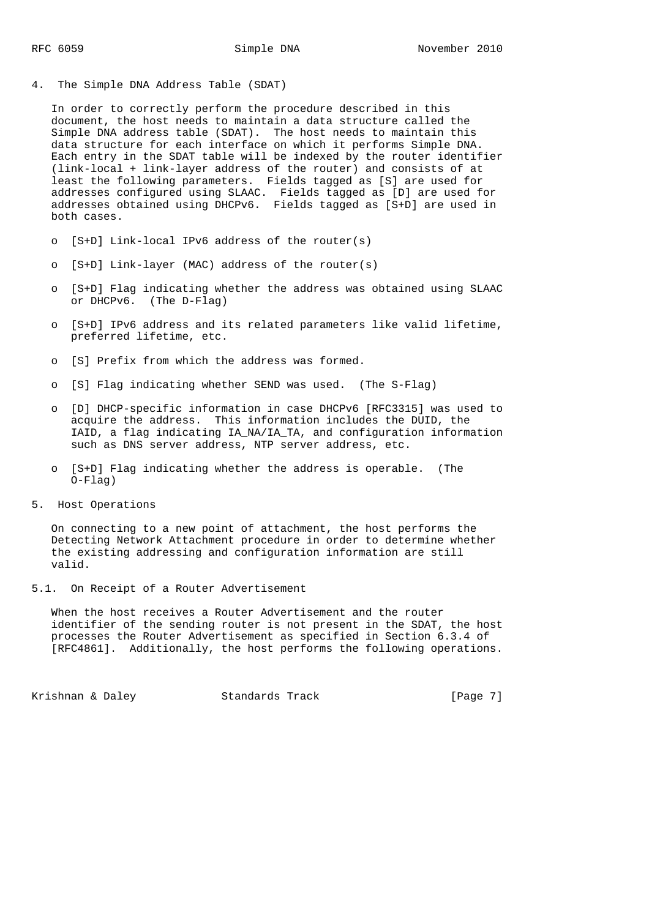4. The Simple DNA Address Table (SDAT)

 In order to correctly perform the procedure described in this document, the host needs to maintain a data structure called the Simple DNA address table (SDAT). The host needs to maintain this data structure for each interface on which it performs Simple DNA. Each entry in the SDAT table will be indexed by the router identifier (link-local + link-layer address of the router) and consists of at least the following parameters. Fields tagged as [S] are used for addresses configured using SLAAC. Fields tagged as [D] are used for addresses obtained using DHCPv6. Fields tagged as [S+D] are used in both cases.

- o [S+D] Link-local IPv6 address of the router(s)
- o [S+D] Link-layer (MAC) address of the router(s)
- o [S+D] Flag indicating whether the address was obtained using SLAAC or DHCPv6. (The D-Flag)
- o [S+D] IPv6 address and its related parameters like valid lifetime, preferred lifetime, etc.
- o [S] Prefix from which the address was formed.
- o [S] Flag indicating whether SEND was used. (The S-Flag)
- o [D] DHCP-specific information in case DHCPv6 [RFC3315] was used to acquire the address. This information includes the DUID, the IAID, a flag indicating IA\_NA/IA\_TA, and configuration information such as DNS server address, NTP server address, etc.
- o [S+D] Flag indicating whether the address is operable. (The O-Flag)
- 5. Host Operations

 On connecting to a new point of attachment, the host performs the Detecting Network Attachment procedure in order to determine whether the existing addressing and configuration information are still valid.

5.1. On Receipt of a Router Advertisement

 When the host receives a Router Advertisement and the router identifier of the sending router is not present in the SDAT, the host processes the Router Advertisement as specified in Section 6.3.4 of [RFC4861]. Additionally, the host performs the following operations.

Krishnan & Daley Standards Track [Page 7]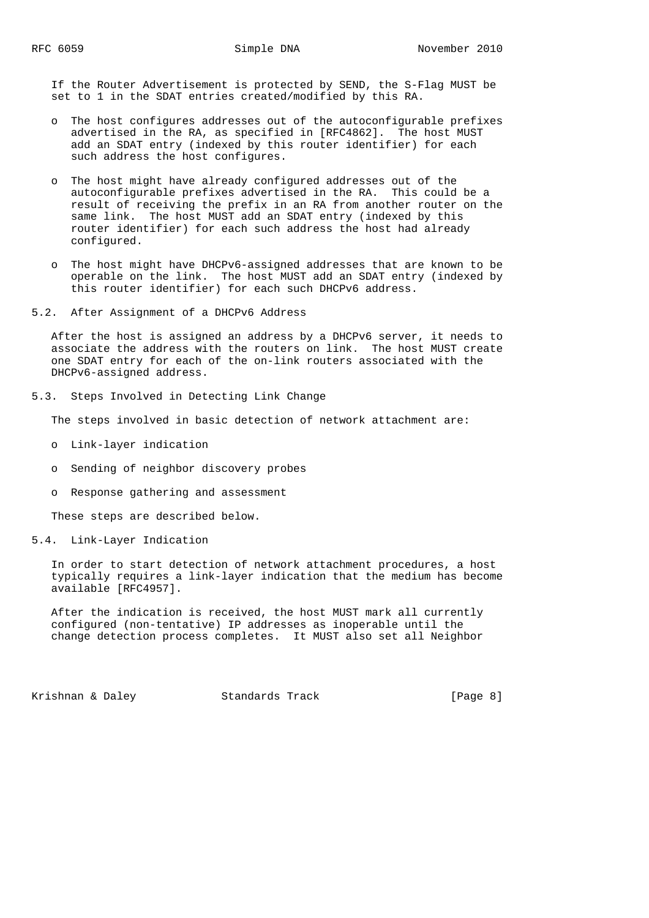If the Router Advertisement is protected by SEND, the S-Flag MUST be set to 1 in the SDAT entries created/modified by this RA.

- o The host configures addresses out of the autoconfigurable prefixes advertised in the RA, as specified in [RFC4862]. The host MUST add an SDAT entry (indexed by this router identifier) for each such address the host configures.
- o The host might have already configured addresses out of the autoconfigurable prefixes advertised in the RA. This could be a result of receiving the prefix in an RA from another router on the same link. The host MUST add an SDAT entry (indexed by this router identifier) for each such address the host had already configured.
- o The host might have DHCPv6-assigned addresses that are known to be operable on the link. The host MUST add an SDAT entry (indexed by this router identifier) for each such DHCPv6 address.
- 5.2. After Assignment of a DHCPv6 Address

 After the host is assigned an address by a DHCPv6 server, it needs to associate the address with the routers on link. The host MUST create one SDAT entry for each of the on-link routers associated with the DHCPv6-assigned address.

5.3. Steps Involved in Detecting Link Change

The steps involved in basic detection of network attachment are:

- o Link-layer indication
- o Sending of neighbor discovery probes
- o Response gathering and assessment

These steps are described below.

5.4. Link-Layer Indication

 In order to start detection of network attachment procedures, a host typically requires a link-layer indication that the medium has become available [RFC4957].

 After the indication is received, the host MUST mark all currently configured (non-tentative) IP addresses as inoperable until the change detection process completes. It MUST also set all Neighbor

Krishnan & Daley Standards Track [Page 8]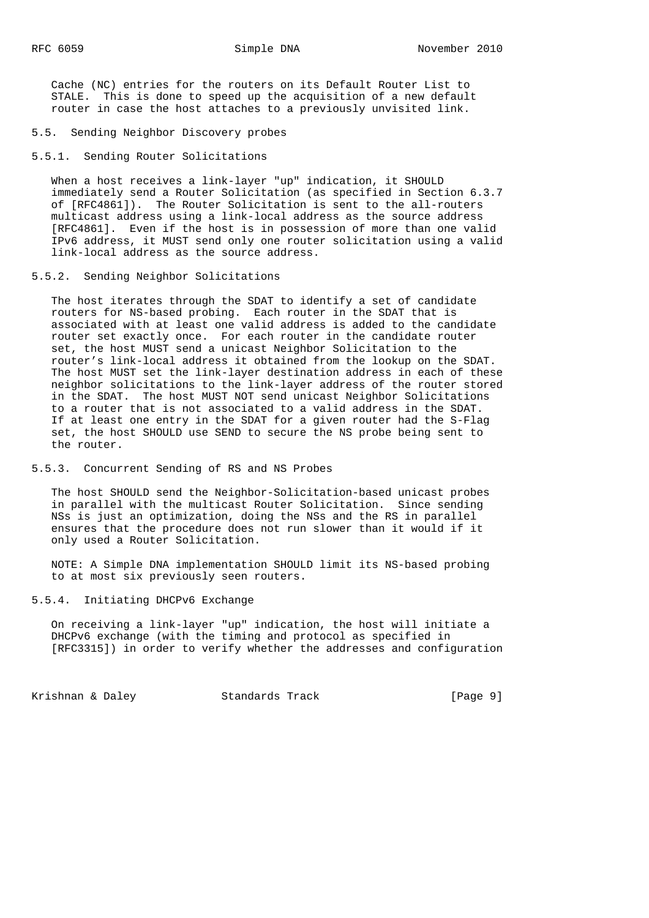Cache (NC) entries for the routers on its Default Router List to STALE. This is done to speed up the acquisition of a new default router in case the host attaches to a previously unvisited link.

- 5.5. Sending Neighbor Discovery probes
- 5.5.1. Sending Router Solicitations

When a host receives a link-layer "up" indication, it SHOULD immediately send a Router Solicitation (as specified in Section 6.3.7 of [RFC4861]). The Router Solicitation is sent to the all-routers multicast address using a link-local address as the source address [RFC4861]. Even if the host is in possession of more than one valid IPv6 address, it MUST send only one router solicitation using a valid link-local address as the source address.

## 5.5.2. Sending Neighbor Solicitations

 The host iterates through the SDAT to identify a set of candidate routers for NS-based probing. Each router in the SDAT that is associated with at least one valid address is added to the candidate router set exactly once. For each router in the candidate router set, the host MUST send a unicast Neighbor Solicitation to the router's link-local address it obtained from the lookup on the SDAT. The host MUST set the link-layer destination address in each of these neighbor solicitations to the link-layer address of the router stored in the SDAT. The host MUST NOT send unicast Neighbor Solicitations to a router that is not associated to a valid address in the SDAT. If at least one entry in the SDAT for a given router had the S-Flag set, the host SHOULD use SEND to secure the NS probe being sent to the router.

## 5.5.3. Concurrent Sending of RS and NS Probes

 The host SHOULD send the Neighbor-Solicitation-based unicast probes in parallel with the multicast Router Solicitation. Since sending NSs is just an optimization, doing the NSs and the RS in parallel ensures that the procedure does not run slower than it would if it only used a Router Solicitation.

 NOTE: A Simple DNA implementation SHOULD limit its NS-based probing to at most six previously seen routers.

5.5.4. Initiating DHCPv6 Exchange

 On receiving a link-layer "up" indication, the host will initiate a DHCPv6 exchange (with the timing and protocol as specified in [RFC3315]) in order to verify whether the addresses and configuration

Krishnan & Daley **Standards Track** [Page 9]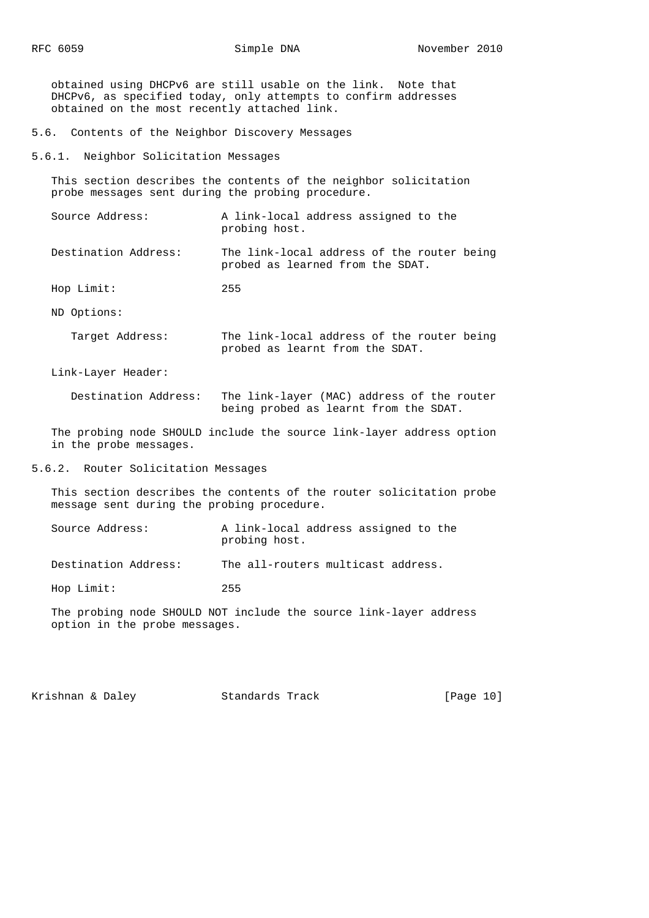obtained using DHCPv6 are still usable on the link. Note that DHCPv6, as specified today, only attempts to confirm addresses obtained on the most recently attached link.

- 5.6. Contents of the Neighbor Discovery Messages
- 5.6.1. Neighbor Solicitation Messages

 This section describes the contents of the neighbor solicitation probe messages sent during the probing procedure.

 Source Address: A link-local address assigned to the probing host.

 Destination Address: The link-local address of the router being probed as learned from the SDAT.

Hop Limit: 255

ND Options:

 Target Address: The link-local address of the router being probed as learnt from the SDAT.

Link-Layer Header:

 Destination Address: The link-layer (MAC) address of the router being probed as learnt from the SDAT.

 The probing node SHOULD include the source link-layer address option in the probe messages.

5.6.2. Router Solicitation Messages

 This section describes the contents of the router solicitation probe message sent during the probing procedure.

| Source Address: | A link-local address assigned to the |  |  |
|-----------------|--------------------------------------|--|--|
|                 | probing host.                        |  |  |

Destination Address: The all-routers multicast address.

Hop Limit: 255

 The probing node SHOULD NOT include the source link-layer address option in the probe messages.

Krishnan & Daley Standards Track [Page 10]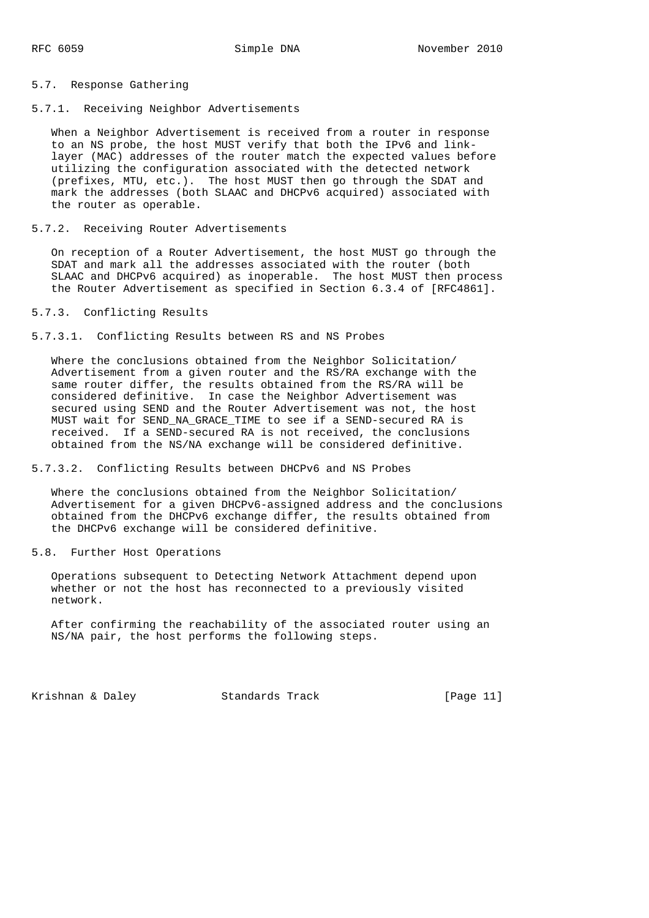#### 5.7. Response Gathering

### 5.7.1. Receiving Neighbor Advertisements

 When a Neighbor Advertisement is received from a router in response to an NS probe, the host MUST verify that both the IPv6 and link layer (MAC) addresses of the router match the expected values before utilizing the configuration associated with the detected network (prefixes, MTU, etc.). The host MUST then go through the SDAT and mark the addresses (both SLAAC and DHCPv6 acquired) associated with the router as operable.

#### 5.7.2. Receiving Router Advertisements

 On reception of a Router Advertisement, the host MUST go through the SDAT and mark all the addresses associated with the router (both SLAAC and DHCPv6 acquired) as inoperable. The host MUST then process the Router Advertisement as specified in Section 6.3.4 of [RFC4861].

## 5.7.3. Conflicting Results

5.7.3.1. Conflicting Results between RS and NS Probes

 Where the conclusions obtained from the Neighbor Solicitation/ Advertisement from a given router and the RS/RA exchange with the same router differ, the results obtained from the RS/RA will be considered definitive. In case the Neighbor Advertisement was secured using SEND and the Router Advertisement was not, the host MUST wait for SEND\_NA\_GRACE\_TIME to see if a SEND-secured RA is received. If a SEND-secured RA is not received, the conclusions obtained from the NS/NA exchange will be considered definitive.

### 5.7.3.2. Conflicting Results between DHCPv6 and NS Probes

 Where the conclusions obtained from the Neighbor Solicitation/ Advertisement for a given DHCPv6-assigned address and the conclusions obtained from the DHCPv6 exchange differ, the results obtained from the DHCPv6 exchange will be considered definitive.

### 5.8. Further Host Operations

 Operations subsequent to Detecting Network Attachment depend upon whether or not the host has reconnected to a previously visited network.

 After confirming the reachability of the associated router using an NS/NA pair, the host performs the following steps.

Krishnan & Daley Standards Track [Page 11]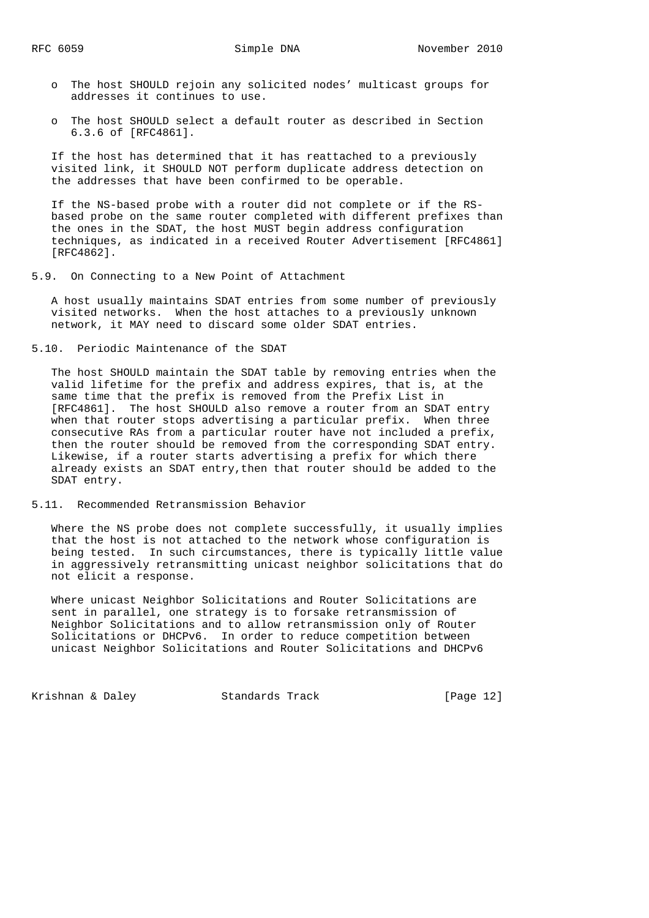- o The host SHOULD rejoin any solicited nodes' multicast groups for addresses it continues to use.
- o The host SHOULD select a default router as described in Section 6.3.6 of [RFC4861].

 If the host has determined that it has reattached to a previously visited link, it SHOULD NOT perform duplicate address detection on the addresses that have been confirmed to be operable.

 If the NS-based probe with a router did not complete or if the RS based probe on the same router completed with different prefixes than the ones in the SDAT, the host MUST begin address configuration techniques, as indicated in a received Router Advertisement [RFC4861] [RFC4862].

5.9. On Connecting to a New Point of Attachment

 A host usually maintains SDAT entries from some number of previously visited networks. When the host attaches to a previously unknown network, it MAY need to discard some older SDAT entries.

5.10. Periodic Maintenance of the SDAT

 The host SHOULD maintain the SDAT table by removing entries when the valid lifetime for the prefix and address expires, that is, at the same time that the prefix is removed from the Prefix List in [RFC4861]. The host SHOULD also remove a router from an SDAT entry when that router stops advertising a particular prefix. When three consecutive RAs from a particular router have not included a prefix, then the router should be removed from the corresponding SDAT entry. Likewise, if a router starts advertising a prefix for which there already exists an SDAT entry,then that router should be added to the SDAT entry.

5.11. Recommended Retransmission Behavior

 Where the NS probe does not complete successfully, it usually implies that the host is not attached to the network whose configuration is being tested. In such circumstances, there is typically little value in aggressively retransmitting unicast neighbor solicitations that do not elicit a response.

 Where unicast Neighbor Solicitations and Router Solicitations are sent in parallel, one strategy is to forsake retransmission of Neighbor Solicitations and to allow retransmission only of Router Solicitations or DHCPv6. In order to reduce competition between unicast Neighbor Solicitations and Router Solicitations and DHCPv6

Krishnan & Daley **Standards Track** [Page 12]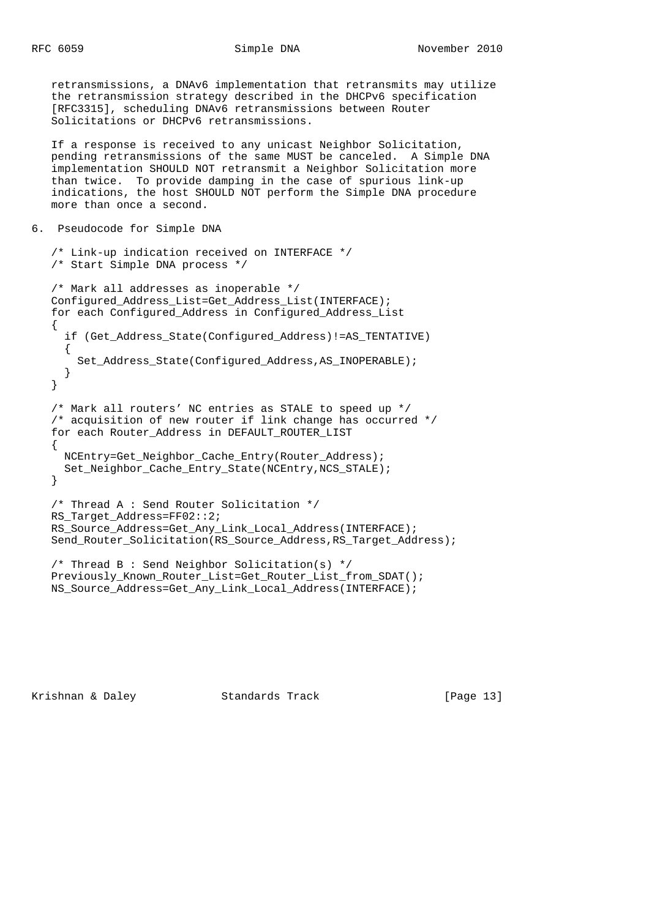retransmissions, a DNAv6 implementation that retransmits may utilize the retransmission strategy described in the DHCPv6 specification [RFC3315], scheduling DNAv6 retransmissions between Router Solicitations or DHCPv6 retransmissions.

 If a response is received to any unicast Neighbor Solicitation, pending retransmissions of the same MUST be canceled. A Simple DNA implementation SHOULD NOT retransmit a Neighbor Solicitation more than twice. To provide damping in the case of spurious link-up indications, the host SHOULD NOT perform the Simple DNA procedure more than once a second.

```
6. Pseudocode for Simple DNA
```

```
 /* Link-up indication received on INTERFACE */
 /* Start Simple DNA process */
```
/\* Mark all addresses as inoperable \*/

```
 Configured_Address_List=Get_Address_List(INTERFACE);
 for each Configured_Address in Configured_Address_List
 {
   if (Get_Address_State(Configured_Address)!=AS_TENTATIVE)
   {
    Set Address State(Configured Address, AS INOPERABLE);
   }
 }
 /* Mark all routers' NC entries as STALE to speed up */
 /* acquisition of new router if link change has occurred */
 for each Router_Address in DEFAULT_ROUTER_LIST
 {
  NCEntry=Get_Neighbor_Cache_Entry(Router_Address);
  Set_Neighbor_Cache_Entry_State(NCEntry,NCS_STALE);
 }
 /* Thread A : Send Router Solicitation */
 RS_Target_Address=FF02::2;
 RS_Source_Address=Get_Any_Link_Local_Address(INTERFACE);
 Send_Router_Solicitation(RS_Source_Address,RS_Target_Address);
 /* Thread B : Send Neighbor Solicitation(s) */
 Previously_Known_Router_List=Get_Router_List_from_SDAT();
```
NS\_Source\_Address=Get\_Any\_Link\_Local\_Address(INTERFACE);

Krishnan & Daley Standards Track [Page 13]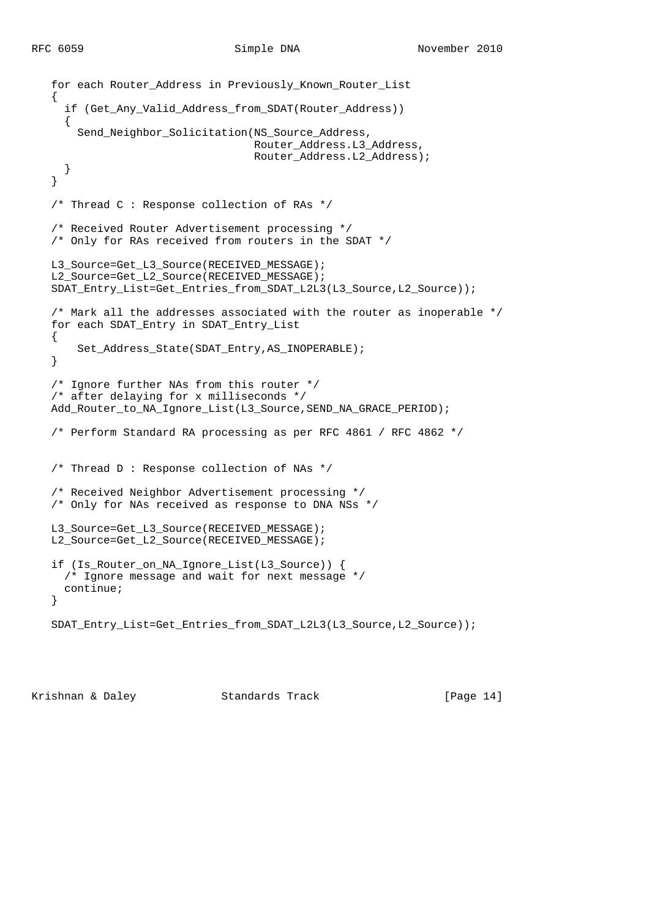```
 for each Router_Address in Previously_Known_Router_List
\left\{ \right.if (Get Any Valid Address from SDAT(Router Address))
   {
     Send_Neighbor_Solicitation(NS_Source_Address,
                                 Router_Address.L3_Address,
                                 Router_Address.L2_Address);
   }
 }
 /* Thread C : Response collection of RAs */
 /* Received Router Advertisement processing */
 /* Only for RAs received from routers in the SDAT */
 L3_Source=Get_L3_Source(RECEIVED_MESSAGE);
 L2_Source=Get_L2_Source(RECEIVED_MESSAGE);
 SDAT_Entry_List=Get_Entries_from_SDAT_L2L3(L3_Source,L2_Source));
 /* Mark all the addresses associated with the router as inoperable */
for each SDAT Entry in SDAT Entry List
 {
     Set_Address_State(SDAT_Entry,AS_INOPERABLE);
 }
 /* Ignore further NAs from this router */
 /* after delaying for x milliseconds */
 Add_Router_to_NA_Ignore_List(L3_Source,SEND_NA_GRACE_PERIOD);
 /* Perform Standard RA processing as per RFC 4861 / RFC 4862 */
 /* Thread D : Response collection of NAs */
 /* Received Neighbor Advertisement processing */
 /* Only for NAs received as response to DNA NSs */
 L3_Source=Get_L3_Source(RECEIVED_MESSAGE);
 L2_Source=Get_L2_Source(RECEIVED_MESSAGE);
 if (Is_Router_on_NA_Ignore_List(L3_Source)) {
  /* Ignore message and wait for next message */
  continue;
 }
 SDAT_Entry_List=Get_Entries_from_SDAT_L2L3(L3_Source,L2_Source));
```
Krishnan & Daley Standards Track [Page 14]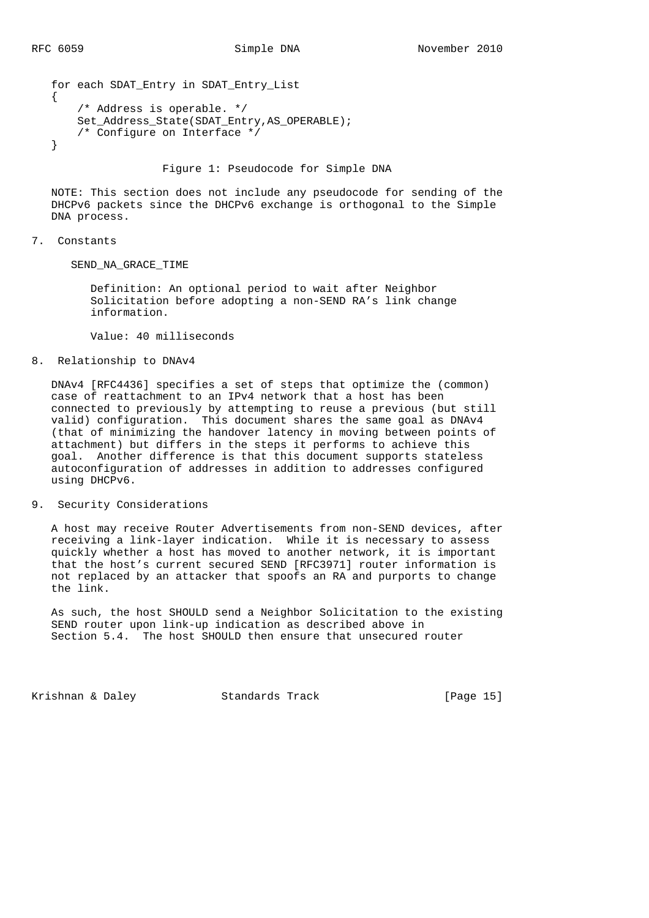```
 for each SDAT_Entry in SDAT_Entry_List
 {
     /* Address is operable. */
    Set_Address_State(SDAT_Entry,AS_OPERABLE);
    /* Configure on Interface */
 }
```
Figure 1: Pseudocode for Simple DNA

 NOTE: This section does not include any pseudocode for sending of the DHCPv6 packets since the DHCPv6 exchange is orthogonal to the Simple DNA process.

### 7. Constants

SEND\_NA\_GRACE\_TIME

 Definition: An optional period to wait after Neighbor Solicitation before adopting a non-SEND RA's link change information.

Value: 40 milliseconds

### 8. Relationship to DNAv4

 DNAv4 [RFC4436] specifies a set of steps that optimize the (common) case of reattachment to an IPv4 network that a host has been connected to previously by attempting to reuse a previous (but still valid) configuration. This document shares the same goal as DNAv4 (that of minimizing the handover latency in moving between points of attachment) but differs in the steps it performs to achieve this goal. Another difference is that this document supports stateless autoconfiguration of addresses in addition to addresses configured using DHCPv6.

## 9. Security Considerations

 A host may receive Router Advertisements from non-SEND devices, after receiving a link-layer indication. While it is necessary to assess quickly whether a host has moved to another network, it is important that the host's current secured SEND [RFC3971] router information is not replaced by an attacker that spoofs an RA and purports to change the link.

 As such, the host SHOULD send a Neighbor Solicitation to the existing SEND router upon link-up indication as described above in Section 5.4. The host SHOULD then ensure that unsecured router

Krishnan & Daley Standards Track [Page 15]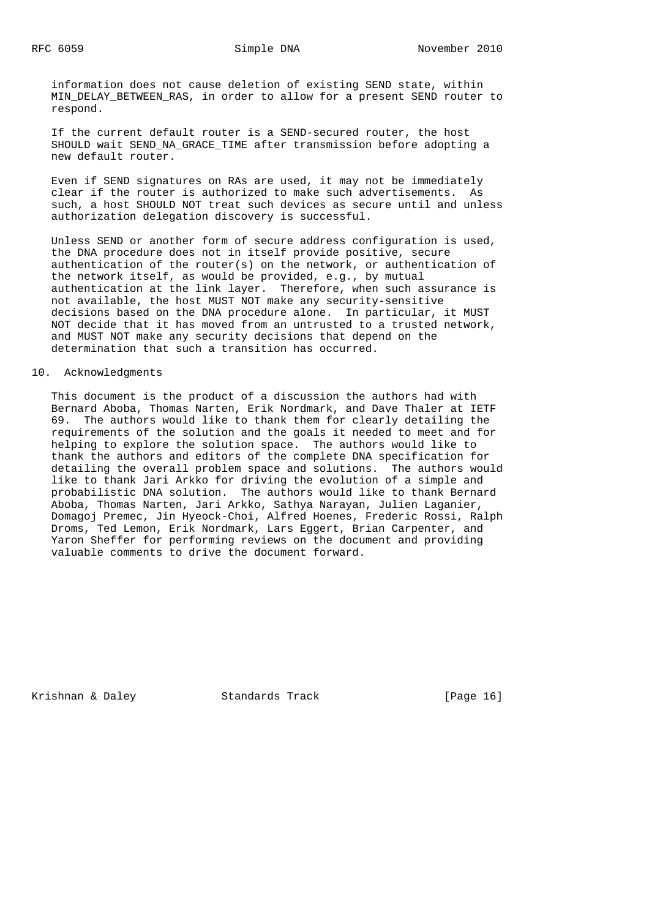information does not cause deletion of existing SEND state, within MIN\_DELAY\_BETWEEN\_RAS, in order to allow for a present SEND router to respond.

 If the current default router is a SEND-secured router, the host SHOULD wait SEND NA GRACE TIME after transmission before adopting a new default router.

 Even if SEND signatures on RAs are used, it may not be immediately clear if the router is authorized to make such advertisements. As such, a host SHOULD NOT treat such devices as secure until and unless authorization delegation discovery is successful.

 Unless SEND or another form of secure address configuration is used, the DNA procedure does not in itself provide positive, secure authentication of the router(s) on the network, or authentication of the network itself, as would be provided, e.g., by mutual authentication at the link layer. Therefore, when such assurance is not available, the host MUST NOT make any security-sensitive decisions based on the DNA procedure alone. In particular, it MUST NOT decide that it has moved from an untrusted to a trusted network, and MUST NOT make any security decisions that depend on the determination that such a transition has occurred.

## 10. Acknowledgments

 This document is the product of a discussion the authors had with Bernard Aboba, Thomas Narten, Erik Nordmark, and Dave Thaler at IETF 69. The authors would like to thank them for clearly detailing the requirements of the solution and the goals it needed to meet and for helping to explore the solution space. The authors would like to thank the authors and editors of the complete DNA specification for detailing the overall problem space and solutions. The authors would like to thank Jari Arkko for driving the evolution of a simple and probabilistic DNA solution. The authors would like to thank Bernard Aboba, Thomas Narten, Jari Arkko, Sathya Narayan, Julien Laganier, Domagoj Premec, Jin Hyeock-Choi, Alfred Hoenes, Frederic Rossi, Ralph Droms, Ted Lemon, Erik Nordmark, Lars Eggert, Brian Carpenter, and Yaron Sheffer for performing reviews on the document and providing valuable comments to drive the document forward.

Krishnan & Daley **Standards Track** [Page 16]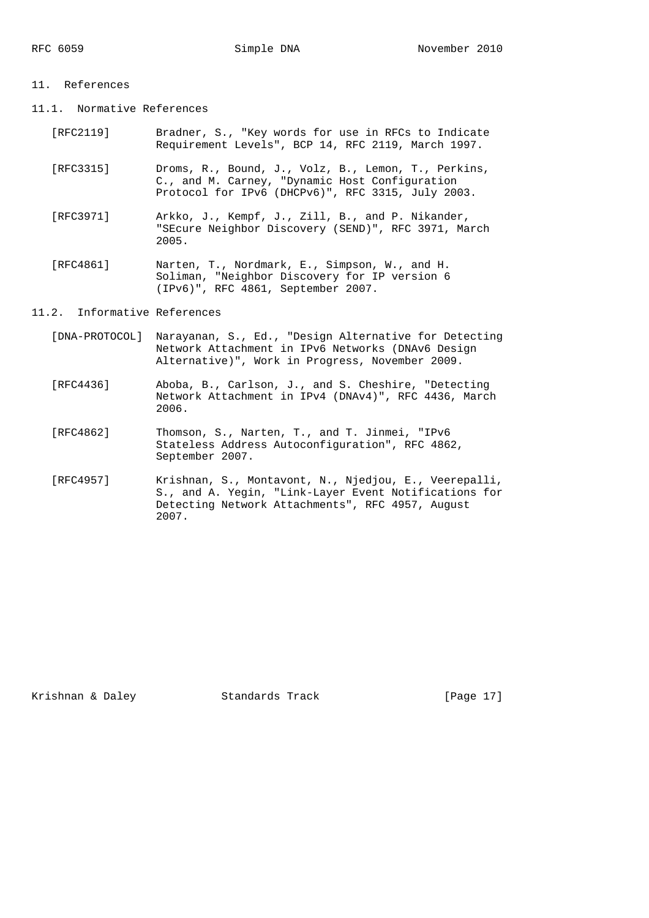#### 11. References

- 11.1. Normative References
	- [RFC2119] Bradner, S., "Key words for use in RFCs to Indicate Requirement Levels", BCP 14, RFC 2119, March 1997.
	- [RFC3315] Droms, R., Bound, J., Volz, B., Lemon, T., Perkins, C., and M. Carney, "Dynamic Host Configuration Protocol for IPv6 (DHCPv6)", RFC 3315, July 2003.
	- [RFC3971] Arkko, J., Kempf, J., Zill, B., and P. Nikander, "SEcure Neighbor Discovery (SEND)", RFC 3971, March 2005.
- [RFC4861] Narten, T., Nordmark, E., Simpson, W., and H. Soliman, "Neighbor Discovery for IP version 6 (IPv6)", RFC 4861, September 2007.

## 11.2. Informative References

- [DNA-PROTOCOL] Narayanan, S., Ed., "Design Alternative for Detecting Network Attachment in IPv6 Networks (DNAv6 Design Alternative)", Work in Progress, November 2009.
- [RFC4436] Aboba, B., Carlson, J., and S. Cheshire, "Detecting Network Attachment in IPv4 (DNAv4)", RFC 4436, March 2006.
- [RFC4862] Thomson, S., Narten, T., and T. Jinmei, "IPv6 Stateless Address Autoconfiguration", RFC 4862, September 2007.
- [RFC4957] Krishnan, S., Montavont, N., Njedjou, E., Veerepalli, S., and A. Yegin, "Link-Layer Event Notifications for Detecting Network Attachments", RFC 4957, August 2007.

Krishnan & Daley **Standards Track** [Page 17]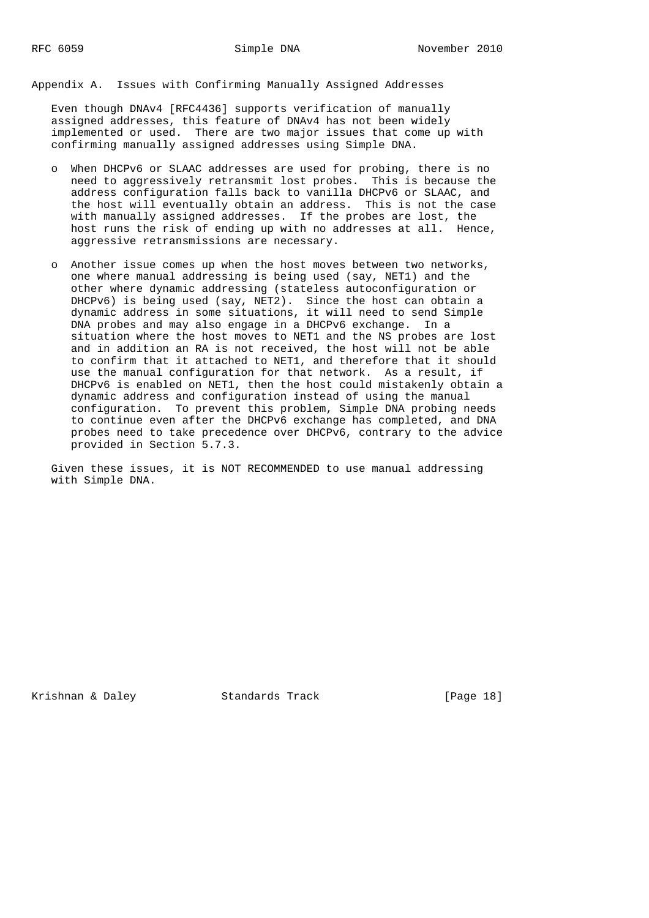Appendix A. Issues with Confirming Manually Assigned Addresses

 Even though DNAv4 [RFC4436] supports verification of manually assigned addresses, this feature of DNAv4 has not been widely implemented or used. There are two major issues that come up with confirming manually assigned addresses using Simple DNA.

- o When DHCPv6 or SLAAC addresses are used for probing, there is no need to aggressively retransmit lost probes. This is because the address configuration falls back to vanilla DHCPv6 or SLAAC, and the host will eventually obtain an address. This is not the case with manually assigned addresses. If the probes are lost, the host runs the risk of ending up with no addresses at all. Hence, aggressive retransmissions are necessary.
- o Another issue comes up when the host moves between two networks, one where manual addressing is being used (say, NET1) and the other where dynamic addressing (stateless autoconfiguration or DHCPv6) is being used (say, NET2). Since the host can obtain a dynamic address in some situations, it will need to send Simple DNA probes and may also engage in a DHCPv6 exchange. In a situation where the host moves to NET1 and the NS probes are lost and in addition an RA is not received, the host will not be able to confirm that it attached to NET1, and therefore that it should use the manual configuration for that network. As a result, if DHCPv6 is enabled on NET1, then the host could mistakenly obtain a dynamic address and configuration instead of using the manual configuration. To prevent this problem, Simple DNA probing needs to continue even after the DHCPv6 exchange has completed, and DNA probes need to take precedence over DHCPv6, contrary to the advice provided in Section 5.7.3.

 Given these issues, it is NOT RECOMMENDED to use manual addressing with Simple DNA.

Krishnan & Daley **Standards Track** [Page 18]